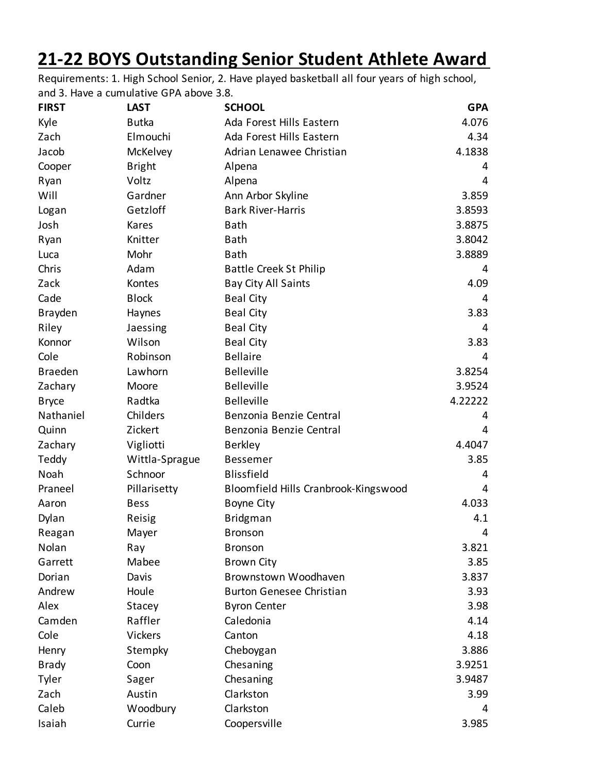## **21-22 BOYS Outstanding Senior Student Athlete Award**

Requirements: 1. High School Senior, 2. Have played basketball all four years of high school, and 3. Have a cumulative GPA above 3.8.

| <b>FIRST</b>   | <b>LAST</b>    | <b>SCHOOL</b>                        | <b>GPA</b> |
|----------------|----------------|--------------------------------------|------------|
| Kyle           | <b>Butka</b>   | Ada Forest Hills Eastern             | 4.076      |
| Zach           | Elmouchi       | Ada Forest Hills Eastern             | 4.34       |
| Jacob          | McKelvey       | Adrian Lenawee Christian             | 4.1838     |
| Cooper         | <b>Bright</b>  | Alpena                               | 4          |
| Ryan           | Voltz          | Alpena                               | 4          |
| Will           | Gardner        | Ann Arbor Skyline                    | 3.859      |
| Logan          | Getzloff       | <b>Bark River-Harris</b>             | 3.8593     |
| Josh           | Kares          | <b>Bath</b>                          | 3.8875     |
| Ryan           | Knitter        | <b>Bath</b>                          | 3.8042     |
| Luca           | Mohr           | <b>Bath</b>                          | 3.8889     |
| Chris          | Adam           | <b>Battle Creek St Philip</b>        | 4          |
| Zack           | Kontes         | Bay City All Saints                  | 4.09       |
| Cade           | <b>Block</b>   | <b>Beal City</b>                     | 4          |
| Brayden        | Haynes         | <b>Beal City</b>                     | 3.83       |
| Riley          | Jaessing       | <b>Beal City</b>                     | 4          |
| Konnor         | Wilson         | <b>Beal City</b>                     | 3.83       |
| Cole           | Robinson       | <b>Bellaire</b>                      | 4          |
| <b>Braeden</b> | Lawhorn        | <b>Belleville</b>                    | 3.8254     |
| Zachary        | Moore          | <b>Belleville</b>                    | 3.9524     |
| <b>Bryce</b>   | Radtka         | <b>Belleville</b>                    | 4.22222    |
| Nathaniel      | Childers       | Benzonia Benzie Central              | 4          |
| Quinn          | Zickert        | Benzonia Benzie Central              | 4          |
| Zachary        | Vigliotti      | <b>Berkley</b>                       | 4.4047     |
| Teddy          | Wittla-Sprague | <b>Bessemer</b>                      | 3.85       |
| Noah           | Schnoor        | <b>Blissfield</b>                    | 4          |
| Praneel        | Pillarisetty   | Bloomfield Hills Cranbrook-Kingswood | 4          |
| Aaron          | <b>Bess</b>    | <b>Boyne City</b>                    | 4.033      |
| Dylan          | Reisig         | <b>Bridgman</b>                      | 4.1        |
| Reagan         | Mayer          | <b>Bronson</b>                       | 4          |
| Nolan          | Ray            | <b>Bronson</b>                       | 3.821      |
| Garrett        | Mabee          | <b>Brown City</b>                    | 3.85       |
| Dorian         | Davis          | Brownstown Woodhaven                 | 3.837      |
| Andrew         | Houle          | <b>Burton Genesee Christian</b>      | 3.93       |
| Alex           | Stacey         | <b>Byron Center</b>                  | 3.98       |
| Camden         | Raffler        | Caledonia                            | 4.14       |
| Cole           | <b>Vickers</b> | Canton                               | 4.18       |
| Henry          | Stempky        | Cheboygan                            | 3.886      |
| <b>Brady</b>   | Coon           | Chesaning                            | 3.9251     |
| Tyler          | Sager          | Chesaning                            | 3.9487     |
| Zach           | Austin         | Clarkston                            | 3.99       |
| Caleb          | Woodbury       | Clarkston                            | 4          |
| Isaiah         | Currie         | Coopersville                         | 3.985      |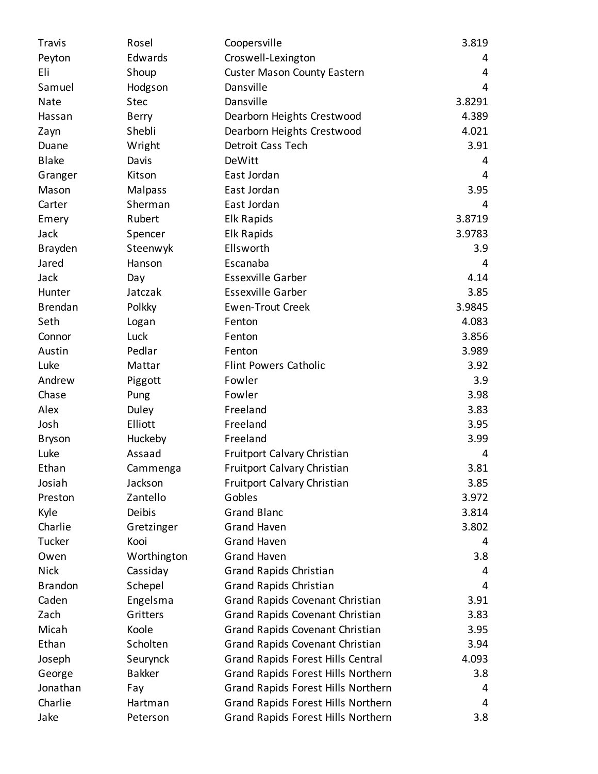| Travis         | Rosel          | Coopersville                             | 3.819  |
|----------------|----------------|------------------------------------------|--------|
| Peyton         | Edwards        | Croswell-Lexington                       | 4      |
| Eli            | Shoup          | <b>Custer Mason County Eastern</b>       | 4      |
| Samuel         | Hodgson        | Dansville                                | 4      |
| Nate           | <b>Stec</b>    | Dansville                                | 3.8291 |
| Hassan         | <b>Berry</b>   | Dearborn Heights Crestwood               | 4.389  |
| Zayn           | Shebli         | Dearborn Heights Crestwood               | 4.021  |
| Duane          | Wright         | Detroit Cass Tech                        | 3.91   |
| <b>Blake</b>   | Davis          | DeWitt                                   | 4      |
| Granger        | Kitson         | East Jordan                              | 4      |
| Mason          | <b>Malpass</b> | East Jordan                              | 3.95   |
| Carter         | Sherman        | East Jordan                              | 4      |
| Emery          | Rubert         | <b>Elk Rapids</b>                        | 3.8719 |
| Jack           | Spencer        | <b>Elk Rapids</b>                        | 3.9783 |
| Brayden        | Steenwyk       | Ellsworth                                | 3.9    |
| Jared          | Hanson         | Escanaba                                 | 4      |
| Jack           | Day            | <b>Essexville Garber</b>                 | 4.14   |
| Hunter         | Jatczak        | <b>Essexville Garber</b>                 | 3.85   |
| <b>Brendan</b> | Polkky         | <b>Ewen-Trout Creek</b>                  | 3.9845 |
| Seth           | Logan          | Fenton                                   | 4.083  |
| Connor         | Luck           | Fenton                                   | 3.856  |
| Austin         | Pedlar         | Fenton                                   | 3.989  |
| Luke           | Mattar         | <b>Flint Powers Catholic</b>             | 3.92   |
| Andrew         | Piggott        | Fowler                                   | 3.9    |
| Chase          | Pung           | Fowler                                   | 3.98   |
| Alex           | Duley          | Freeland                                 | 3.83   |
| Josh           | Elliott        | Freeland                                 | 3.95   |
| <b>Bryson</b>  | Huckeby        | Freeland                                 | 3.99   |
| Luke           | Assaad         | Fruitport Calvary Christian              | 4      |
| Ethan          | Cammenga       | Fruitport Calvary Christian              | 3.81   |
| Josiah         | Jackson        | <b>Fruitport Calvary Christian</b>       | 3.85   |
| Preston        | Zantello       | Gobles                                   | 3.972  |
| Kyle           | Deibis         | <b>Grand Blanc</b>                       | 3.814  |
| Charlie        | Gretzinger     | <b>Grand Haven</b>                       | 3.802  |
| Tucker         | Kooi           | <b>Grand Haven</b>                       | 4      |
| Owen           | Worthington    | <b>Grand Haven</b>                       | 3.8    |
| <b>Nick</b>    | Cassiday       | <b>Grand Rapids Christian</b>            | 4      |
| <b>Brandon</b> | Schepel        | <b>Grand Rapids Christian</b>            | 4      |
| Caden          | Engelsma       | Grand Rapids Covenant Christian          | 3.91   |
| Zach           | Gritters       | Grand Rapids Covenant Christian          | 3.83   |
| Micah          | Koole          | Grand Rapids Covenant Christian          | 3.95   |
| Ethan          | Scholten       | Grand Rapids Covenant Christian          | 3.94   |
| Joseph         | Seurynck       | <b>Grand Rapids Forest Hills Central</b> | 4.093  |
| George         | <b>Bakker</b>  | Grand Rapids Forest Hills Northern       | 3.8    |
| Jonathan       | Fay            | Grand Rapids Forest Hills Northern       | 4      |
| Charlie        | Hartman        | Grand Rapids Forest Hills Northern       | 4      |
| Jake           | Peterson       | Grand Rapids Forest Hills Northern       | 3.8    |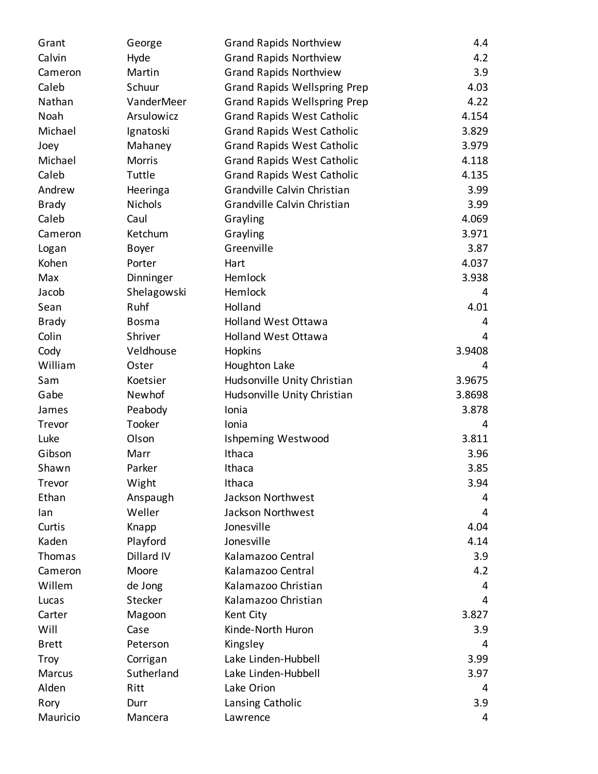| Grant        | George         | <b>Grand Rapids Northview</b>       | 4.4    |
|--------------|----------------|-------------------------------------|--------|
| Calvin       | Hyde           | <b>Grand Rapids Northview</b>       | 4.2    |
| Cameron      | Martin         | <b>Grand Rapids Northview</b>       | 3.9    |
| Caleb        | Schuur         | <b>Grand Rapids Wellspring Prep</b> | 4.03   |
| Nathan       | VanderMeer     | <b>Grand Rapids Wellspring Prep</b> | 4.22   |
| Noah         | Arsulowicz     | <b>Grand Rapids West Catholic</b>   | 4.154  |
| Michael      | Ignatoski      | <b>Grand Rapids West Catholic</b>   | 3.829  |
| Joey         | Mahaney        | <b>Grand Rapids West Catholic</b>   | 3.979  |
| Michael      | <b>Morris</b>  | <b>Grand Rapids West Catholic</b>   | 4.118  |
| Caleb        | Tuttle         | <b>Grand Rapids West Catholic</b>   | 4.135  |
| Andrew       | Heeringa       | Grandville Calvin Christian         | 3.99   |
| <b>Brady</b> | <b>Nichols</b> | Grandville Calvin Christian         | 3.99   |
| Caleb        | Caul           | Grayling                            | 4.069  |
| Cameron      | Ketchum        | Grayling                            | 3.971  |
| Logan        | <b>Boyer</b>   | Greenville                          | 3.87   |
| Kohen        | Porter         | Hart                                | 4.037  |
| Max          | Dinninger      | Hemlock                             | 3.938  |
| Jacob        | Shelagowski    | Hemlock                             | 4      |
| Sean         | Ruhf           | Holland                             | 4.01   |
| <b>Brady</b> | <b>Bosma</b>   | <b>Holland West Ottawa</b>          | 4      |
| Colin        | Shriver        | <b>Holland West Ottawa</b>          | 4      |
| Cody         | Veldhouse      | Hopkins                             | 3.9408 |
| William      | Oster          | Houghton Lake                       | 4      |
| Sam          | Koetsier       | Hudsonville Unity Christian         | 3.9675 |
| Gabe         | Newhof         | Hudsonville Unity Christian         | 3.8698 |
| James        | Peabody        | Ionia                               | 3.878  |
| Trevor       | Tooker         | Ionia                               | 4      |
| Luke         | Olson          | Ishpeming Westwood                  | 3.811  |
| Gibson       | Marr           | Ithaca                              | 3.96   |
| Shawn        | Parker         | Ithaca                              | 3.85   |
| Trevor       | Wight          | Ithaca                              | 3.94   |
| Ethan        | Anspaugh       | Jackson Northwest                   | 4      |
| lan          | Weller         | Jackson Northwest                   | 4      |
| Curtis       | Knapp          | Jonesville                          | 4.04   |
| Kaden        | Playford       | Jonesville                          | 4.14   |
| Thomas       | Dillard IV     | Kalamazoo Central                   | 3.9    |
| Cameron      | Moore          | Kalamazoo Central                   | 4.2    |
| Willem       | de Jong        | Kalamazoo Christian                 | 4      |
| Lucas        | Stecker        | Kalamazoo Christian                 | 4      |
| Carter       | Magoon         | Kent City                           | 3.827  |
| Will         | Case           | Kinde-North Huron                   | 3.9    |
| <b>Brett</b> | Peterson       | Kingsley                            | 4      |
| Troy         | Corrigan       | Lake Linden-Hubbell                 | 3.99   |
| Marcus       | Sutherland     | Lake Linden-Hubbell                 | 3.97   |
| Alden        | Ritt           | Lake Orion                          | 4      |
| Rory         | Durr           | Lansing Catholic                    | 3.9    |
| Mauricio     | Mancera        | Lawrence                            | 4      |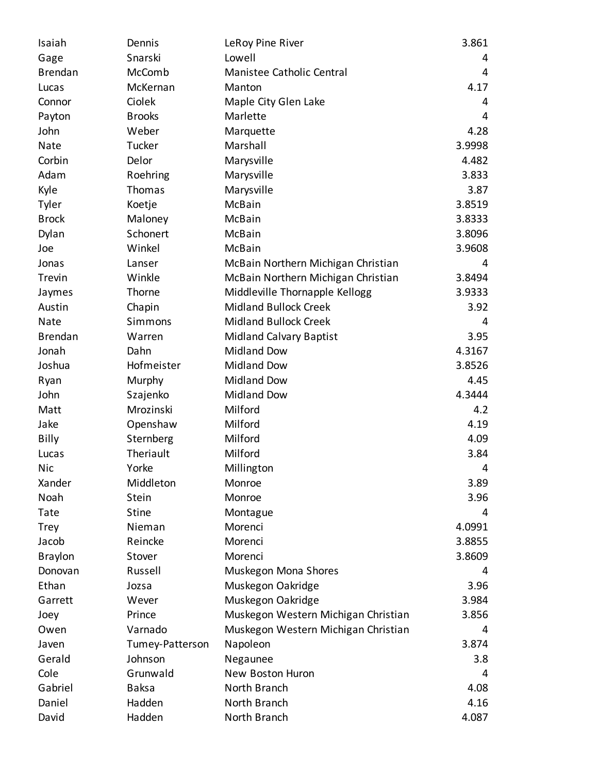| Isaiah         | Dennis          | LeRoy Pine River                    | 3.861  |
|----------------|-----------------|-------------------------------------|--------|
| Gage           | Snarski         | Lowell                              | 4      |
| <b>Brendan</b> | McComb          | Manistee Catholic Central           | 4      |
| Lucas          | McKernan        | Manton                              | 4.17   |
| Connor         | Ciolek          | Maple City Glen Lake                | 4      |
| Payton         | <b>Brooks</b>   | Marlette                            | 4      |
| John           | Weber           | Marquette                           | 4.28   |
| <b>Nate</b>    | Tucker          | Marshall                            | 3.9998 |
| Corbin         | Delor           | Marysville                          | 4.482  |
| Adam           | Roehring        | Marysville                          | 3.833  |
| Kyle           | Thomas          | Marysville                          | 3.87   |
| Tyler          | Koetje          | McBain                              | 3.8519 |
| <b>Brock</b>   | Maloney         | McBain                              | 3.8333 |
| Dylan          | Schonert        | McBain                              | 3.8096 |
| Joe            | Winkel          | McBain                              | 3.9608 |
| Jonas          | Lanser          | McBain Northern Michigan Christian  | 4      |
| Trevin         | Winkle          | McBain Northern Michigan Christian  | 3.8494 |
| Jaymes         | Thorne          | Middleville Thornapple Kellogg      | 3.9333 |
| Austin         | Chapin          | <b>Midland Bullock Creek</b>        | 3.92   |
| <b>Nate</b>    | Simmons         | <b>Midland Bullock Creek</b>        | 4      |
| <b>Brendan</b> | Warren          | <b>Midland Calvary Baptist</b>      | 3.95   |
| Jonah          | Dahn            | <b>Midland Dow</b>                  | 4.3167 |
| Joshua         | Hofmeister      | <b>Midland Dow</b>                  | 3.8526 |
| Ryan           | Murphy          | <b>Midland Dow</b>                  | 4.45   |
| John           | Szajenko        | <b>Midland Dow</b>                  | 4.3444 |
| Matt           | Mrozinski       | Milford                             | 4.2    |
| Jake           | Openshaw        | Milford                             | 4.19   |
| Billy          | Sternberg       | Milford                             | 4.09   |
| Lucas          | Theriault       | Milford                             | 3.84   |
| Nic            | Yorke           | Millington                          | 4      |
| Xander         | Middleton       | Monroe                              | 3.89   |
| Noah           | Stein           | Monroe                              | 3.96   |
| Tate           | <b>Stine</b>    | Montague                            | 4      |
| <b>Trey</b>    | Nieman          | Morenci                             | 4.0991 |
| Jacob          | Reincke         | Morenci                             | 3.8855 |
| <b>Braylon</b> | Stover          | Morenci                             | 3.8609 |
| Donovan        | Russell         | Muskegon Mona Shores                | 4      |
| Ethan          | Jozsa           | Muskegon Oakridge                   | 3.96   |
| Garrett        | Wever           | Muskegon Oakridge                   | 3.984  |
| Joey           | Prince          | Muskegon Western Michigan Christian | 3.856  |
| Owen           | Varnado         | Muskegon Western Michigan Christian | 4      |
| Javen          | Tumey-Patterson | Napoleon                            | 3.874  |
| Gerald         | Johnson         | Negaunee                            | 3.8    |
| Cole           | Grunwald        | New Boston Huron                    | 4      |
| Gabriel        | <b>Baksa</b>    | North Branch                        | 4.08   |
| Daniel         | Hadden          | North Branch                        | 4.16   |
| David          | Hadden          | North Branch                        | 4.087  |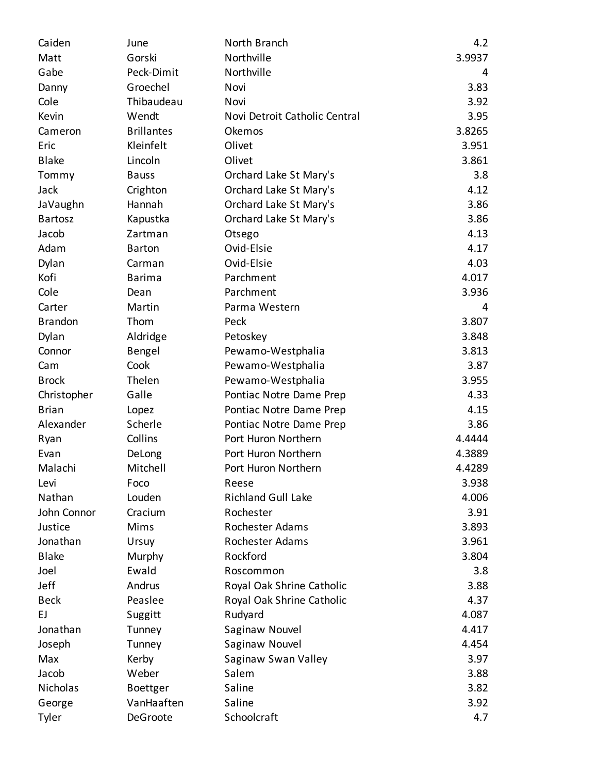| Caiden         | June              | North Branch                  | 4.2    |
|----------------|-------------------|-------------------------------|--------|
| Matt           | Gorski            | Northville                    | 3.9937 |
| Gabe           | Peck-Dimit        | Northville                    | 4      |
| Danny          | Groechel          | Novi                          | 3.83   |
| Cole           | Thibaudeau        | Novi                          | 3.92   |
| Kevin          | Wendt             | Novi Detroit Catholic Central | 3.95   |
| Cameron        | <b>Brillantes</b> | Okemos                        | 3.8265 |
| Eric           | Kleinfelt         | Olivet                        | 3.951  |
| <b>Blake</b>   | Lincoln           | Olivet                        | 3.861  |
| Tommy          | <b>Bauss</b>      | Orchard Lake St Mary's        | 3.8    |
| Jack           | Crighton          | Orchard Lake St Mary's        | 4.12   |
| JaVaughn       | Hannah            | Orchard Lake St Mary's        | 3.86   |
| <b>Bartosz</b> | Kapustka          | Orchard Lake St Mary's        | 3.86   |
| Jacob          | Zartman           | Otsego                        | 4.13   |
| Adam           | <b>Barton</b>     | Ovid-Elsie                    | 4.17   |
| Dylan          | Carman            | Ovid-Elsie                    | 4.03   |
| Kofi           | <b>Barima</b>     | Parchment                     | 4.017  |
| Cole           | Dean              | Parchment                     | 3.936  |
| Carter         | Martin            | Parma Western                 | 4      |
| <b>Brandon</b> | Thom              | Peck                          | 3.807  |
| Dylan          | Aldridge          | Petoskey                      | 3.848  |
| Connor         | Bengel            | Pewamo-Westphalia             | 3.813  |
| Cam            | Cook              | Pewamo-Westphalia             | 3.87   |
| <b>Brock</b>   | Thelen            | Pewamo-Westphalia             | 3.955  |
| Christopher    | Galle             | Pontiac Notre Dame Prep       | 4.33   |
| <b>Brian</b>   | Lopez             | Pontiac Notre Dame Prep       | 4.15   |
| Alexander      | Scherle           | Pontiac Notre Dame Prep       | 3.86   |
| Ryan           | Collins           | Port Huron Northern           | 4.4444 |
| Evan           | DeLong            | Port Huron Northern           | 4.3889 |
| Malachi        | Mitchell          | Port Huron Northern           | 4.4289 |
| Levi           | Foco              | Reese                         | 3.938  |
| Nathan         | Louden            | <b>Richland Gull Lake</b>     | 4.006  |
| John Connor    | Cracium           | Rochester                     | 3.91   |
| Justice        | Mims              | <b>Rochester Adams</b>        | 3.893  |
| Jonathan       | Ursuy             | Rochester Adams               | 3.961  |
| <b>Blake</b>   | Murphy            | Rockford                      | 3.804  |
| Joel           | Ewald             | Roscommon                     | 3.8    |
| Jeff           | Andrus            | Royal Oak Shrine Catholic     | 3.88   |
| <b>Beck</b>    | Peaslee           | Royal Oak Shrine Catholic     | 4.37   |
| EJ.            | Suggitt           | Rudyard                       | 4.087  |
| Jonathan       | Tunney            | Saginaw Nouvel                | 4.417  |
| Joseph         | Tunney            | Saginaw Nouvel                | 4.454  |
| Max            | Kerby             | Saginaw Swan Valley           | 3.97   |
| Jacob          | Weber             | Salem                         | 3.88   |
| Nicholas       | <b>Boettger</b>   | Saline                        | 3.82   |
| George         | VanHaaften        | Saline                        | 3.92   |
| Tyler          | DeGroote          | Schoolcraft                   | 4.7    |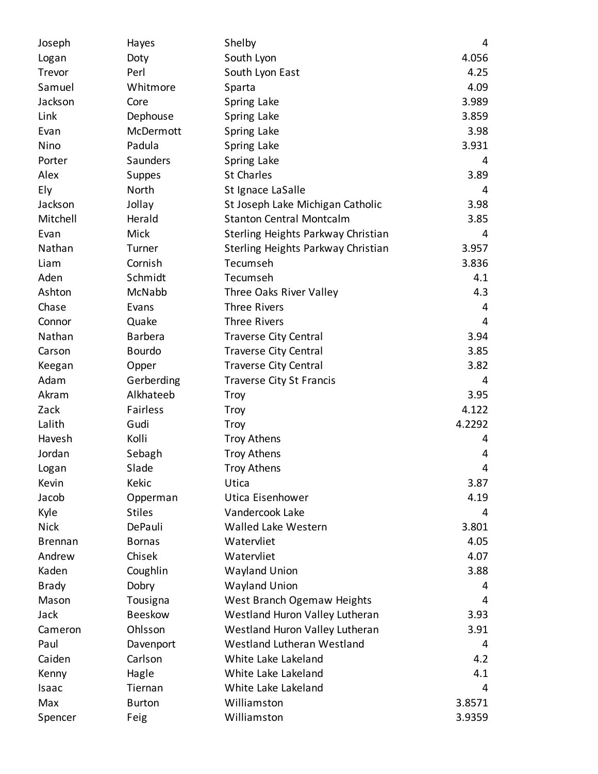| Joseph         | Hayes          | Shelby                             | 4      |
|----------------|----------------|------------------------------------|--------|
| Logan          | Doty           | South Lyon                         | 4.056  |
| Trevor         | Perl           | South Lyon East                    | 4.25   |
| Samuel         | Whitmore       | Sparta                             | 4.09   |
| Jackson        | Core           | Spring Lake                        | 3.989  |
| Link           | Dephouse       | Spring Lake                        | 3.859  |
| Evan           | McDermott      | Spring Lake                        | 3.98   |
| Nino           | Padula         | Spring Lake                        | 3.931  |
| Porter         | Saunders       | Spring Lake                        | 4      |
| Alex           | Suppes         | <b>St Charles</b>                  | 3.89   |
| Ely            | North          | St Ignace LaSalle                  | 4      |
| Jackson        | Jollay         | St Joseph Lake Michigan Catholic   | 3.98   |
| Mitchell       | Herald         | <b>Stanton Central Montcalm</b>    | 3.85   |
| Evan           | Mick           | Sterling Heights Parkway Christian | 4      |
| Nathan         | Turner         | Sterling Heights Parkway Christian | 3.957  |
| Liam           | Cornish        | Tecumseh                           | 3.836  |
| Aden           | Schmidt        | Tecumseh                           | 4.1    |
| Ashton         | McNabb         | Three Oaks River Valley            | 4.3    |
| Chase          | Evans          | <b>Three Rivers</b>                | 4      |
| Connor         | Quake          | <b>Three Rivers</b>                | 4      |
| Nathan         | <b>Barbera</b> | <b>Traverse City Central</b>       | 3.94   |
| Carson         | <b>Bourdo</b>  | <b>Traverse City Central</b>       | 3.85   |
| Keegan         | Opper          | <b>Traverse City Central</b>       | 3.82   |
| Adam           | Gerberding     | <b>Traverse City St Francis</b>    | 4      |
| Akram          | Alkhateeb      | Troy                               | 3.95   |
| Zack           | Fairless       | Troy                               | 4.122  |
| Lalith         | Gudi           | Troy                               | 4.2292 |
| Havesh         | Kolli          | <b>Troy Athens</b>                 | 4      |
| Jordan         | Sebagh         | <b>Troy Athens</b>                 | 4      |
| Logan          | Slade          | <b>Troy Athens</b>                 | 4      |
| Kevin          | Kekic          | Utica                              | 3.87   |
| Jacob          | Opperman       | Utica Eisenhower                   | 4.19   |
| Kyle           | <b>Stiles</b>  | Vandercook Lake                    | 4      |
| <b>Nick</b>    | DePauli        | Walled Lake Western                | 3.801  |
| <b>Brennan</b> | <b>Bornas</b>  | Watervliet                         | 4.05   |
| Andrew         | Chisek         | Watervliet                         | 4.07   |
| Kaden          | Coughlin       | <b>Wayland Union</b>               | 3.88   |
| <b>Brady</b>   | Dobry          | <b>Wayland Union</b>               | 4      |
| Mason          | Tousigna       | West Branch Ogemaw Heights         | 4      |
| Jack           | <b>Beeskow</b> | Westland Huron Valley Lutheran     | 3.93   |
| Cameron        | Ohlsson        | Westland Huron Valley Lutheran     | 3.91   |
| Paul           | Davenport      | Westland Lutheran Westland         | 4      |
| Caiden         | Carlson        | White Lake Lakeland                | 4.2    |
| Kenny          | Hagle          | White Lake Lakeland                | 4.1    |
| Isaac          | Tiernan        | White Lake Lakeland                | 4      |
| Max            | <b>Burton</b>  | Williamston                        | 3.8571 |
| Spencer        | Feig           | Williamston                        | 3.9359 |